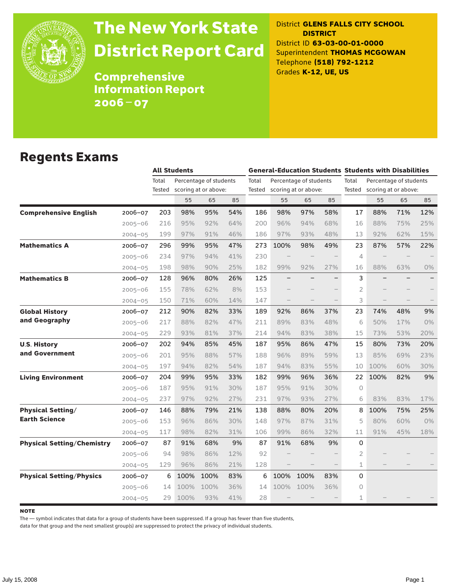

# The New York State District Report Card

District **GLENS FALLS CITY SCHOOL DISTRICT** District ID **63-03-00-01-0000** Superintendent **THOMAS MCGOWAN** Telephone **(518) 792-1212** Grades **K-12, UE, US**

Comprehensive Information Report 2006–07

#### Regents Exams

|                                                |        | <b>All Students</b> |                        |     | <b>General-Education Students Students with Disabilities</b> |      |                             |     |                |                             |     |     |  |
|------------------------------------------------|--------|---------------------|------------------------|-----|--------------------------------------------------------------|------|-----------------------------|-----|----------------|-----------------------------|-----|-----|--|
|                                                | Total  |                     | Percentage of students |     | Total                                                        |      | Percentage of students      |     | Total          | Percentage of students      |     |     |  |
|                                                | Tested |                     | scoring at or above:   |     |                                                              |      | Tested scoring at or above: |     |                | Tested scoring at or above: |     |     |  |
|                                                |        | 55                  | 65                     | 85  |                                                              | 55   | 65                          | 85  |                | 55                          | 65  | 85  |  |
| <b>Comprehensive English</b><br>$2006 - 07$    | 203    | 98%                 | 95%                    | 54% | 186                                                          | 98%  | 97%                         | 58% | 17             | 88%                         | 71% | 12% |  |
| $2005 - 06$                                    | 216    | 95%                 | 92%                    | 64% | 200                                                          | 96%  | 94%                         | 68% | 16             | 88%                         | 75% | 25% |  |
| $2004 - 05$                                    | 199    | 97%                 | 91%                    | 46% | 186                                                          | 97%  | 93%                         | 48% | 13             | 92%                         | 62% | 15% |  |
| <b>Mathematics A</b><br>2006-07                | 296    | 99%                 | 95%                    | 47% | 273                                                          | 100% | 98%                         | 49% | 23             | 87%                         | 57% | 22% |  |
| $2005 - 06$                                    | 234    | 97%                 | 94%                    | 41% | 230                                                          |      |                             |     | $\overline{4}$ |                             |     |     |  |
| $2004 - 05$                                    | 198    | 98%                 | 90%                    | 25% | 182                                                          | 99%  | 92%                         | 27% | 16             | 88%                         | 63% | 0%  |  |
| <b>Mathematics B</b><br>$2006 - 07$            | 128    | 96%                 | 80%                    | 26% | 125                                                          |      |                             |     | 3              |                             |     |     |  |
| 2005-06                                        | 155    | 78%                 | 62%                    | 8%  | 153                                                          |      |                             |     | 2              |                             |     |     |  |
| $2004 - 05$                                    | 150    | 71%                 | 60%                    | 14% | 147                                                          |      |                             |     | 3              |                             |     |     |  |
| <b>Global History</b><br>2006-07               | 212    | 90%                 | 82%                    | 33% | 189                                                          | 92%  | 86%                         | 37% | 23             | 74%                         | 48% | 9%  |  |
| and Geography<br>$2005 - 06$                   | 217    | 88%                 | 82%                    | 47% | 211                                                          | 89%  | 83%                         | 48% | 6              | 50%                         | 17% | 0%  |  |
| $2004 - 05$                                    | 229    | 93%                 | 81%                    | 37% | 214                                                          | 94%  | 83%                         | 38% | 15             | 73%                         | 53% | 20% |  |
| <b>U.S. History</b><br>2006-07                 | 202    | 94%                 | 85%                    | 45% | 187                                                          | 95%  | 86%                         | 47% | 15             | 80%                         | 73% | 20% |  |
| and Government<br>$2005 - 06$                  | 201    | 95%                 | 88%                    | 57% | 188                                                          | 96%  | 89%                         | 59% | 13             | 85%                         | 69% | 23% |  |
| $2004 - 05$                                    | 197    | 94%                 | 82%                    | 54% | 187                                                          | 94%  | 83%                         | 55% | 10             | 100%                        | 60% | 30% |  |
| <b>Living Environment</b><br>$2006 - 07$       | 204    | 99%                 | 95%                    | 33% | 182                                                          | 99%  | 96%                         | 36% | 22             | 100%                        | 82% | 9%  |  |
| 2005-06                                        | 187    | 95%                 | 91%                    | 30% | 187                                                          | 95%  | 91%                         | 30% | $\circ$        |                             |     |     |  |
| $2004 - 05$                                    | 237    | 97%                 | 92%                    | 27% | 231                                                          | 97%  | 93%                         | 27% | 6              | 83%                         | 83% | 17% |  |
| <b>Physical Setting/</b><br>2006-07            | 146    | 88%                 | 79%                    | 21% | 138                                                          | 88%  | 80%                         | 20% | 8              | 100%                        | 75% | 25% |  |
| <b>Earth Science</b><br>$2005 - 06$            | 153    | 96%                 | 86%                    | 30% | 148                                                          | 97%  | 87%                         | 31% | 5              | 80%                         | 60% | 0%  |  |
| $2004 - 05$                                    | 117    | 98%                 | 82%                    | 31% | 106                                                          | 99%  | 86%                         | 32% | 11             | 91%                         | 45% | 18% |  |
| <b>Physical Setting/Chemistry</b><br>2006-07   | 87     | 91%                 | 68%                    | 9%  | 87                                                           | 91%  | 68%                         | 9%  | 0              |                             |     |     |  |
| $2005 - 06$                                    | 94     | 98%                 | 86%                    | 12% | 92                                                           |      |                             |     | 2              |                             |     |     |  |
| $2004 - 05$                                    | 129    | 96%                 | 86%                    | 21% | 128                                                          |      |                             |     | $\mathbf 1$    |                             |     |     |  |
| <b>Physical Setting/Physics</b><br>$2006 - 07$ | 6      | 100%                | 100%                   | 83% | 6                                                            | 100% | 100%                        | 83% | 0              |                             |     |     |  |
| 2005-06                                        | 14     | 100%                | 100%                   | 36% | 14                                                           | 100% | 100%                        | 36% | $\circ$        |                             |     |     |  |
| $2004 - 05$                                    | 29     | 100%                | 93%                    | 41% | 28                                                           |      |                             |     | 1              |                             |     |     |  |

**NOTE** 

The — symbol indicates that data for a group of students have been suppressed. If a group has fewer than five students,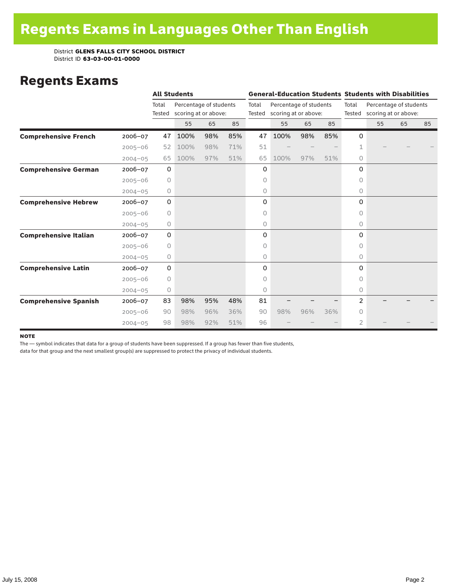### Regents Exams

|                              |             |                 | <b>All Students</b>                            |     |     |                 | <b>General-Education Students Students with Disabilities</b> |     |     |                 |                                                |    |    |  |
|------------------------------|-------------|-----------------|------------------------------------------------|-----|-----|-----------------|--------------------------------------------------------------|-----|-----|-----------------|------------------------------------------------|----|----|--|
|                              |             | Total<br>Tested | Percentage of students<br>scoring at or above: |     |     | Total<br>Tested | Percentage of students<br>scoring at or above:               |     |     | Total<br>Tested | Percentage of students<br>scoring at or above: |    |    |  |
|                              |             |                 | 55                                             | 65  | 85  |                 | 55                                                           | 65  | 85  |                 | 55                                             | 65 | 85 |  |
| <b>Comprehensive French</b>  | $2006 - 07$ | 47              | 100%                                           | 98% | 85% | 47              | 100%                                                         | 98% | 85% | 0               |                                                |    |    |  |
|                              | $2005 - 06$ | 52              | 100%                                           | 98% | 71% | 51              |                                                              |     |     | 1               |                                                |    |    |  |
|                              | $2004 - 05$ | 65              | 100%                                           | 97% | 51% | 65              | 100%                                                         | 97% | 51% | $\circ$         |                                                |    |    |  |
| <b>Comprehensive German</b>  | $2006 - 07$ | $\mathsf O$     |                                                |     |     | 0               |                                                              |     |     | 0               |                                                |    |    |  |
|                              | $2005 - 06$ | $\circ$         |                                                |     |     | 0               |                                                              |     |     | $\Omega$        |                                                |    |    |  |
|                              | $2004 - 05$ | 0               |                                                |     |     | 0               |                                                              |     |     | 0               |                                                |    |    |  |
| <b>Comprehensive Hebrew</b>  | $2006 - 07$ | 0               |                                                |     |     | 0               |                                                              |     |     | 0               |                                                |    |    |  |
|                              | $2005 - 06$ | $\circ$         |                                                |     |     | 0               |                                                              |     |     | 0               |                                                |    |    |  |
|                              | $2004 - 05$ | 0               |                                                |     |     | 0               |                                                              |     |     | $\circ$         |                                                |    |    |  |
| <b>Comprehensive Italian</b> | 2006-07     | $\mathbf 0$     |                                                |     |     | 0               |                                                              |     |     | 0               |                                                |    |    |  |
|                              | $2005 - 06$ | $\circ$         |                                                |     |     | 0               |                                                              |     |     | $\Omega$        |                                                |    |    |  |
|                              | $2004 - 05$ | 0               |                                                |     |     | 0               |                                                              |     |     | $\Omega$        |                                                |    |    |  |
| <b>Comprehensive Latin</b>   | 2006-07     | $\mathbf 0$     |                                                |     |     | 0               |                                                              |     |     | $\Omega$        |                                                |    |    |  |
|                              | $2005 - 06$ | 0               |                                                |     |     | 0               |                                                              |     |     | 0               |                                                |    |    |  |
|                              | $2004 - 05$ | 0               |                                                |     |     | 0               |                                                              |     |     | 0               |                                                |    |    |  |
| <b>Comprehensive Spanish</b> | $2006 - 07$ | 83              | 98%                                            | 95% | 48% | 81              |                                                              |     |     | 2               |                                                |    |    |  |
|                              | $2005 - 06$ | 90              | 98%                                            | 96% | 36% | 90              | 98%                                                          | 96% | 36% | 0               |                                                |    |    |  |
|                              | $2004 - 05$ | 98              | 98%                                            | 92% | 51% | 96              |                                                              |     |     | 2               |                                                |    |    |  |

#### **NOTE**

The — symbol indicates that data for a group of students have been suppressed. If a group has fewer than five students,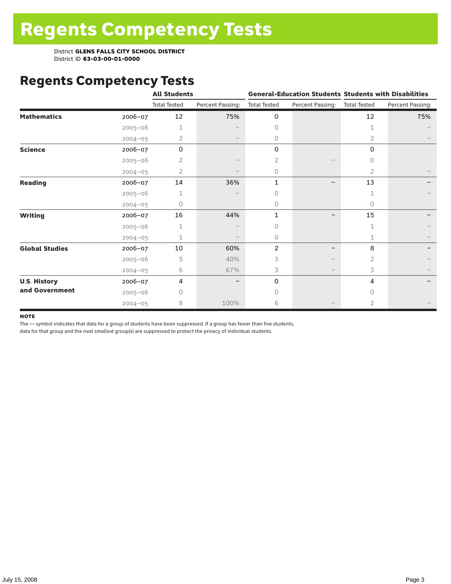# Regents Competency Tests

|                       |             | <b>All Students</b> |                   |                     |                  | <b>General-Education Students Students with Disabilities</b> |                  |  |
|-----------------------|-------------|---------------------|-------------------|---------------------|------------------|--------------------------------------------------------------|------------------|--|
|                       |             | <b>Total Tested</b> | Percent Passing:  | <b>Total Tested</b> | Percent Passing: | <b>Total Tested</b>                                          | Percent Passing: |  |
| <b>Mathematics</b>    | 2006-07     | 12                  | 75%               | 0                   |                  | 12                                                           | 75%              |  |
|                       | $2005 - 06$ | 1                   |                   | $\Omega$            |                  | 1                                                            |                  |  |
|                       | $2004 - 05$ | 2                   | $\qquad \qquad -$ | $\circ$             |                  | 2                                                            |                  |  |
| <b>Science</b>        | 2006-07     | 0                   |                   | 0                   |                  | 0                                                            |                  |  |
|                       | $2005 - 06$ | 2                   |                   | 2                   |                  | 0                                                            |                  |  |
|                       | $2004 - 05$ | 2                   |                   | 0                   |                  | 2                                                            |                  |  |
| <b>Reading</b>        | 2006-07     | 14                  | 36%               | 1                   |                  | 13                                                           |                  |  |
|                       | $2005 - 06$ |                     |                   | 0                   |                  | $\mathbf{1}$                                                 |                  |  |
|                       | $2004 - 05$ | 0                   |                   | $\circ$             |                  | 0                                                            |                  |  |
| <b>Writing</b>        | 2006-07     | 16                  | 44%               | $\mathbf{1}$        |                  | 15                                                           |                  |  |
|                       | $2005 - 06$ | 1                   |                   | $\Omega$            |                  | 1                                                            |                  |  |
|                       | $2004 - 05$ | 1                   |                   | 0                   |                  | 1                                                            |                  |  |
| <b>Global Studies</b> | 2006-07     | 10                  | 60%               | 2                   |                  | 8                                                            |                  |  |
|                       | $2005 - 06$ | 5                   | 40%               | 3                   |                  | 2                                                            |                  |  |
|                       | $2004 - 05$ | 6                   | 67%               | 3                   |                  | 3                                                            |                  |  |
| <b>U.S. History</b>   | 2006-07     | 4                   |                   | 0                   |                  | 4                                                            |                  |  |
| and Government        | $2005 - 06$ | U                   |                   | $\bigcap$           |                  | $\Omega$                                                     |                  |  |
|                       | $2004 - 05$ | 8                   | 100%              | 6                   |                  | 2                                                            |                  |  |

#### **NOTE**

The — symbol indicates that data for a group of students have been suppressed. If a group has fewer than five students,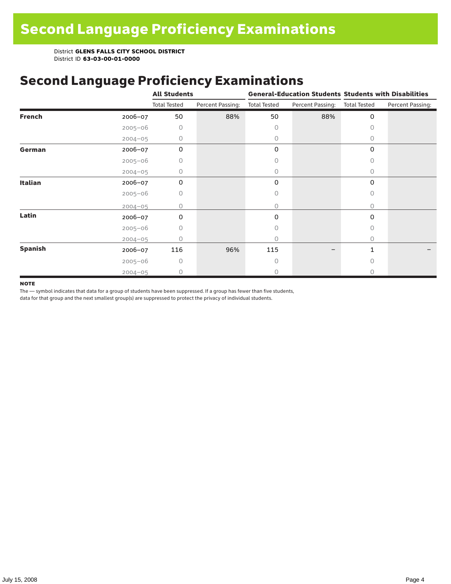# Second Language Proficiency Examinations

|                |             | <b>All Students</b> |                  |                     |                  | <b>General-Education Students Students with Disabilities</b> |                  |  |
|----------------|-------------|---------------------|------------------|---------------------|------------------|--------------------------------------------------------------|------------------|--|
|                |             | <b>Total Tested</b> | Percent Passing: | <b>Total Tested</b> | Percent Passing: | <b>Total Tested</b>                                          | Percent Passing: |  |
| <b>French</b>  | 2006-07     | 50                  | 88%              | 50                  | 88%              | $\mathbf 0$                                                  |                  |  |
|                | $2005 - 06$ | 0                   |                  | 0                   |                  | 0                                                            |                  |  |
|                | $2004 - 05$ | 0                   |                  | 0                   |                  | 0                                                            |                  |  |
| German         | 2006-07     | $\mathbf 0$         |                  | 0                   |                  | $\mathbf 0$                                                  |                  |  |
|                | $2005 - 06$ | 0                   |                  | 0                   |                  | 0                                                            |                  |  |
|                | $2004 - 05$ | 0                   |                  | 0                   |                  | 0                                                            |                  |  |
| <b>Italian</b> | 2006-07     | $\mathbf 0$         |                  | 0                   |                  | 0                                                            |                  |  |
|                | $2005 - 06$ | 0                   |                  | 0                   |                  | 0                                                            |                  |  |
|                | $2004 - 05$ | 0                   |                  | 0                   |                  | 0                                                            |                  |  |
| Latin          | $2006 - 07$ | 0                   |                  | 0                   |                  | 0                                                            |                  |  |
|                | $2005 - 06$ | 0                   |                  | 0                   |                  | 0                                                            |                  |  |
|                | $2004 - 05$ | 0                   |                  | 0                   |                  | 0                                                            |                  |  |
| <b>Spanish</b> | $2006 - 07$ | 116                 | 96%              | 115                 |                  | 1                                                            |                  |  |
|                | $2005 - 06$ | $\Omega$            |                  | 0                   |                  | $\cap$                                                       |                  |  |
|                | $2004 - 05$ | 0                   |                  | 0                   |                  | O                                                            |                  |  |

#### **NOTE**

The — symbol indicates that data for a group of students have been suppressed. If a group has fewer than five students,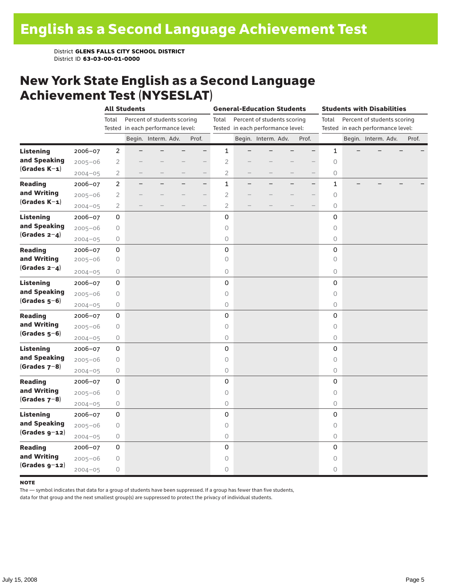### New York State English as a Second Language Achievement Test (NYSESLAT)

|                  |             |                | <b>All Students</b> |                                   |  | <b>General-Education Students</b> |                     |                                   |                     | <b>Students with Disabilities</b> |                          |              |  |                                   |  |       |
|------------------|-------------|----------------|---------------------|-----------------------------------|--|-----------------------------------|---------------------|-----------------------------------|---------------------|-----------------------------------|--------------------------|--------------|--|-----------------------------------|--|-------|
|                  |             | Total          |                     | Percent of students scoring       |  |                                   | Total               |                                   |                     | Percent of students scoring       |                          | Total        |  | Percent of students scoring       |  |       |
|                  |             |                |                     | Tested in each performance level: |  |                                   |                     | Tested in each performance level: |                     |                                   |                          |              |  | Tested in each performance level: |  |       |
|                  |             |                |                     | Begin. Interm. Adv.               |  | Prof.                             |                     |                                   | Begin. Interm. Adv. |                                   | Prof.                    |              |  | Begin. Interm. Adv.               |  | Prof. |
| <b>Listening</b> | 2006-07     | $\overline{2}$ |                     |                                   |  | $\overline{\phantom{0}}$          | $\mathbf{1}$        |                                   |                     |                                   | $\overline{\phantom{0}}$ | $\mathbf{1}$ |  |                                   |  |       |
| and Speaking     | $2005 - 06$ | $\mathbf{2}$   |                     |                                   |  |                                   | $\overline{2}$      |                                   |                     |                                   |                          | $\bigcirc$   |  |                                   |  |       |
| $(Grades K-1)$   | $2004 - 05$ | $\overline{2}$ |                     |                                   |  | $\overline{\phantom{0}}$          | $\overline{2}$      |                                   |                     |                                   |                          | 0            |  |                                   |  |       |
| <b>Reading</b>   | 2006-07     | $\overline{c}$ |                     |                                   |  | $\overline{\phantom{0}}$          | $\mathbf{1}$        |                                   |                     |                                   | $\overline{\phantom{0}}$ | $\mathbf 1$  |  |                                   |  |       |
| and Writing      | $2005 - 06$ | $\overline{2}$ |                     |                                   |  | $\overline{\phantom{0}}$          | $\overline{2}$      |                                   |                     |                                   |                          | $\circ$      |  |                                   |  |       |
| $(Grades K-1)$   | $2004 - 05$ | $\mathbf{2}$   |                     |                                   |  |                                   | $\overline{c}$      |                                   |                     |                                   |                          | 0            |  |                                   |  |       |
| <b>Listening</b> | 2006-07     | 0              |                     |                                   |  |                                   | 0                   |                                   |                     |                                   |                          | 0            |  |                                   |  |       |
| and Speaking     | $2005 - 06$ | $\bigcirc$     |                     |                                   |  |                                   | $\circ$             |                                   |                     |                                   |                          | $\circ$      |  |                                   |  |       |
| $(Grades 2-4)$   | $2004 - 05$ | $\bigcirc$     |                     |                                   |  |                                   | $\bigcirc$          |                                   |                     |                                   |                          | $\circ$      |  |                                   |  |       |
| <b>Reading</b>   | 2006-07     | 0              |                     |                                   |  |                                   | $\mathsf 0$         |                                   |                     |                                   |                          | $\mathbf 0$  |  |                                   |  |       |
| and Writing      | $2005 - 06$ | 0              |                     |                                   |  |                                   | $\circ$             |                                   |                     |                                   |                          | $\circ$      |  |                                   |  |       |
| $(Grades 2-4)$   | $2004 - 05$ | 0              |                     |                                   |  |                                   | $\circlearrowright$ |                                   |                     |                                   |                          | 0            |  |                                   |  |       |
| <b>Listening</b> | 2006-07     | 0              |                     |                                   |  |                                   | 0                   |                                   |                     |                                   |                          | 0            |  |                                   |  |       |
| and Speaking     | $2005 - 06$ | $\bigcirc$     |                     |                                   |  |                                   | $\circ$             |                                   |                     |                                   |                          | $\circ$      |  |                                   |  |       |
| $(Grades 5-6)$   | $2004 - 05$ | 0              |                     |                                   |  |                                   | $\circ$             |                                   |                     |                                   |                          | 0            |  |                                   |  |       |
| <b>Reading</b>   | 2006-07     | 0              |                     |                                   |  |                                   | 0                   |                                   |                     |                                   |                          | 0            |  |                                   |  |       |
| and Writing      | $2005 - 06$ | $\bigcirc$     |                     |                                   |  |                                   | $\circ$             |                                   |                     |                                   |                          | $\circ$      |  |                                   |  |       |
| $(Grades 5-6)$   | $2004 - 05$ | $\bigcirc$     |                     |                                   |  |                                   | $\bigcirc$          |                                   |                     |                                   |                          | 0            |  |                                   |  |       |
| <b>Listening</b> | 2006-07     | 0              |                     |                                   |  |                                   | $\mathbf 0$         |                                   |                     |                                   |                          | 0            |  |                                   |  |       |
| and Speaking     | $2005 - 06$ | $\bigcirc$     |                     |                                   |  |                                   | $\circ$             |                                   |                     |                                   |                          | $\circ$      |  |                                   |  |       |
| $(Grades 7-8)$   | $2004 - 05$ | 0              |                     |                                   |  |                                   | $\bigcirc$          |                                   |                     |                                   |                          | 0            |  |                                   |  |       |
| <b>Reading</b>   | 2006-07     | 0              |                     |                                   |  |                                   | $\mathbf 0$         |                                   |                     |                                   |                          | 0            |  |                                   |  |       |
| and Writing      | $2005 - 06$ | $\bigcirc$     |                     |                                   |  |                                   | $\circ$             |                                   |                     |                                   |                          | $\circ$      |  |                                   |  |       |
| $(Grades 7-8)$   | $2004 - 05$ | 0              |                     |                                   |  |                                   | $\circ$             |                                   |                     |                                   |                          | 0            |  |                                   |  |       |
| <b>Listening</b> | 2006-07     | 0              |                     |                                   |  |                                   | 0                   |                                   |                     |                                   |                          | 0            |  |                                   |  |       |
| and Speaking     | $2005 - 06$ | $\bigcirc$     |                     |                                   |  |                                   | $\circ$             |                                   |                     |                                   |                          | $\circ$      |  |                                   |  |       |
| $(Grades g-12)$  | $2004 - 05$ | $\bigcirc$     |                     |                                   |  |                                   | $\circ$             |                                   |                     |                                   |                          | $\circ$      |  |                                   |  |       |
| <b>Reading</b>   | 2006-07     | 0              |                     |                                   |  |                                   | $\mathsf{O}\xspace$ |                                   |                     |                                   |                          | 0            |  |                                   |  |       |
| and Writing      | $2005 - 06$ | 0              |                     |                                   |  |                                   | $\circ$             |                                   |                     |                                   |                          | $\circ$      |  |                                   |  |       |
| $(Grades g-12)$  | $2004 - 05$ | $\bigcirc$     |                     |                                   |  |                                   | $\bigcirc$          |                                   |                     |                                   |                          | 0            |  |                                   |  |       |

#### **NOTE**

The — symbol indicates that data for a group of students have been suppressed. If a group has fewer than five students,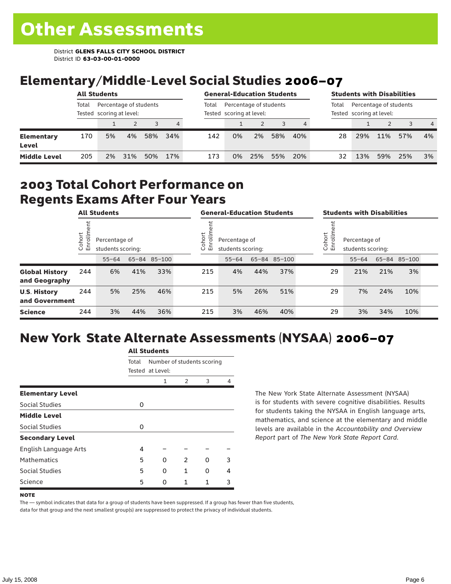## Elementary/Middle-Level Social Studies 2006–07

|                            |       | <b>All Students</b>                                |     |     |     |       | <b>General-Education Students</b>                  |     |     |     |       |                                                    |     | <b>Students with Disabilities</b> |                |
|----------------------------|-------|----------------------------------------------------|-----|-----|-----|-------|----------------------------------------------------|-----|-----|-----|-------|----------------------------------------------------|-----|-----------------------------------|----------------|
|                            | Total | Percentage of students<br>Tested scoring at level: |     |     |     | Total | Percentage of students<br>Tested scoring at level: |     |     |     | Total | Percentage of students<br>Tested scoring at level: |     |                                   |                |
|                            |       |                                                    |     |     | 4   |       |                                                    |     |     | 4   |       |                                                    | 2   | 3                                 | $\overline{4}$ |
| <b>Elementary</b><br>Level | 170   | 5%                                                 | 4%  | 58% | 34% | 142   | 0%                                                 | 2%  | 58% | 40% | 28    | 29%                                                | 11% | 57%                               | 4%             |
| <b>Middle Level</b>        | 205   | 2%                                                 | 31% | 50% | 17% | 173   | 0%                                                 | 25% | 55% | 20% | 32    | 13%                                                | 59% | 25%                               | 3%             |

#### 2003 Total Cohort Performance on Regents Exams After Four Years

| <b>All Students</b>                    |                        |           | <b>General-Education Students</b>  |              |  |                                                        | <b>Students with Disabilities</b> |     |              |  |                                                               |           |     |              |  |
|----------------------------------------|------------------------|-----------|------------------------------------|--------------|--|--------------------------------------------------------|-----------------------------------|-----|--------------|--|---------------------------------------------------------------|-----------|-----|--------------|--|
|                                        | Cohort<br>$\circ$<br>屲 |           | Percentage of<br>students scoring: |              |  | Cohort<br>Percentage of<br>ō<br>멷<br>students scoring: |                                   |     |              |  | Cohort<br>$=$<br>Percentage of<br>5<br>문<br>students scoring: |           |     |              |  |
|                                        |                        | $55 - 64$ |                                    | 65-84 85-100 |  |                                                        | $55 - 64$                         |     | 65-84 85-100 |  |                                                               | $55 - 64$ |     | 65-84 85-100 |  |
| <b>Global History</b><br>and Geography | 244                    | 6%        | 41%                                | 33%          |  | 215                                                    | 4%                                | 44% | 37%          |  | 29                                                            | 21%       | 21% | 3%           |  |
| <b>U.S. History</b><br>and Government  | 244                    | 5%        | 25%                                | 46%          |  | 215                                                    | 5%                                | 26% | 51%          |  | 29                                                            | 7%        | 24% | 10%          |  |
| <b>Science</b>                         | 244                    | 3%        | 44%                                | 36%          |  | 215                                                    | 3%                                | 46% | 40%          |  | 29                                                            | 3%        | 34% | 10%          |  |

## New York State Alternate Assessments (NYSAA) 2006–07

|                         | <b>All Students</b> |                                                |               |   |   |  |  |  |  |
|-------------------------|---------------------|------------------------------------------------|---------------|---|---|--|--|--|--|
|                         | Total               | Number of students scoring<br>Tested at Level: |               |   |   |  |  |  |  |
|                         |                     | 1                                              | $\mathcal{P}$ | 3 | Δ |  |  |  |  |
| <b>Elementary Level</b> |                     |                                                |               |   |   |  |  |  |  |
| Social Studies          | 0                   |                                                |               |   |   |  |  |  |  |
| <b>Middle Level</b>     |                     |                                                |               |   |   |  |  |  |  |
| <b>Social Studies</b>   | 0                   |                                                |               |   |   |  |  |  |  |
| <b>Secondary Level</b>  |                     |                                                |               |   |   |  |  |  |  |
| English Language Arts   | 4                   |                                                |               |   |   |  |  |  |  |
| <b>Mathematics</b>      | 5                   | O                                              | $\mathcal{P}$ | U | ٦ |  |  |  |  |
| Social Studies          | 5                   | O                                              | 1             | O | 4 |  |  |  |  |
| Science                 | 5                   | U                                              | 1             | 1 | 3 |  |  |  |  |
|                         |                     |                                                |               |   |   |  |  |  |  |

The New York State Alternate Assessment (NYSAA) is for students with severe cognitive disabilities. Results for students taking the NYSAA in English language arts, mathematics, and science at the elementary and middle levels are available in the *Accountability and Overview Report* part of *The New York State Report Card*.

#### **NOTE**

The — symbol indicates that data for a group of students have been suppressed. If a group has fewer than five students, data for that group and the next smallest group(s) are suppressed to protect the privacy of individual students.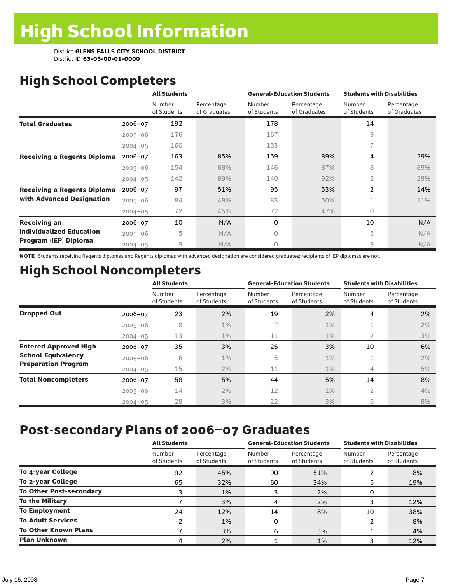# High School Completers

|                                    |             | <b>All Students</b>   |                            |                       | <b>General-Education Students</b> | <b>Students with Disabilities</b> |                            |  |
|------------------------------------|-------------|-----------------------|----------------------------|-----------------------|-----------------------------------|-----------------------------------|----------------------------|--|
|                                    |             | Number<br>of Students | Percentage<br>of Graduates | Number<br>of Students | Percentage<br>of Graduates        | Number<br>of Students             | Percentage<br>of Graduates |  |
| <b>Total Graduates</b>             | $2006 - 07$ | 192                   |                            | 178                   |                                   | 14                                |                            |  |
|                                    | $2005 - 06$ | 176                   |                            | 167                   |                                   | 9                                 |                            |  |
|                                    | $2004 - 05$ | 160                   |                            | 153                   |                                   | 7                                 |                            |  |
| <b>Receiving a Regents Diploma</b> | $2006 - 07$ | 163                   | 85%                        | 159                   | 89%                               | 4                                 | 29%                        |  |
|                                    | $2005 - 06$ | 154                   | 88%                        | 146                   | 87%                               | 8                                 | 89%                        |  |
|                                    | $2004 - 05$ | 142                   | 89%                        | 140                   | 92%                               | 2                                 | 29%                        |  |
| <b>Receiving a Regents Diploma</b> | $2006 - 07$ | 97                    | 51%                        | 95                    | 53%                               | $\overline{2}$                    | 14%                        |  |
| with Advanced Designation          | $2005 - 06$ | 84                    | 48%                        | 83                    | 50%                               | 1                                 | 11%                        |  |
|                                    | $2004 - 05$ | 72                    | 45%                        | 72                    | 47%                               | 0                                 |                            |  |
| <b>Receiving an</b>                | $2006 - 07$ | 10                    | N/A                        | 0                     |                                   | 10                                | N/A                        |  |
| <b>Individualized Education</b>    | $2005 - 06$ | 5                     | N/A                        | 0                     |                                   | 5                                 | N/A                        |  |
| Program (IEP) Diploma              | $2004 - 05$ | $\overline{9}$        | N/A                        | 0                     |                                   | 9                                 | N/A                        |  |

NOTE Students receiving Regents diplomas and Regents diplomas with advanced designation are considered graduates; recipients of IEP diplomas are not.

# High School Noncompleters

|                              |             | <b>All Students</b>   |                           |                       | <b>General-Education Students</b> | <b>Students with Disabilities</b> |                           |  |  |
|------------------------------|-------------|-----------------------|---------------------------|-----------------------|-----------------------------------|-----------------------------------|---------------------------|--|--|
|                              |             | Number<br>of Students | Percentage<br>of Students | Number<br>of Students | Percentage<br>of Students         | Number<br>of Students             | Percentage<br>of Students |  |  |
| <b>Dropped Out</b>           | 2006-07     | 23                    | 2%                        | 19                    | 2%                                | 4                                 | 2%                        |  |  |
|                              | $2005 - 06$ | 8                     | $1\%$                     | 7                     | $1\%$                             | 1                                 | 2%                        |  |  |
|                              | $2004 - 05$ | 13                    | $1\%$                     | 11                    | $1\%$                             | 2                                 | 3%                        |  |  |
| <b>Entered Approved High</b> | 2006-07     | 35                    | 3%                        | 25                    | 3%                                | 10                                | 6%                        |  |  |
| <b>School Equivalency</b>    | $2005 - 06$ | 6                     | $1\%$                     | 5                     | $1\%$                             | 1                                 | 2%                        |  |  |
| <b>Preparation Program</b>   | $2004 - 05$ | 15                    | 2%                        | 11                    | $1\%$                             | 4                                 | 5%                        |  |  |
| <b>Total Noncompleters</b>   | 2006-07     | 58                    | 5%                        | 44                    | 5%                                | 14                                | 8%                        |  |  |
|                              | $2005 - 06$ | 14                    | 2%                        | 12                    | $1\%$                             | 2                                 | 4%                        |  |  |
|                              | $2004 - 05$ | 28                    | 3%                        | 22                    | 3%                                | 6                                 | 8%                        |  |  |

# Post-secondary Plans of 2006–07 Graduates

|                                | <b>All Students</b>   |                           |                       | <b>General-Education Students</b> | <b>Students with Disabilities</b> |                           |  |
|--------------------------------|-----------------------|---------------------------|-----------------------|-----------------------------------|-----------------------------------|---------------------------|--|
|                                | Number<br>of Students | Percentage<br>of Students | Number<br>of Students | Percentage<br>of Students         | Number<br>of Students             | Percentage<br>of Students |  |
| To 4-year College              | 92                    | 45%                       | 90                    | 51%                               |                                   | 8%                        |  |
| To 2-year College              | 65                    | 32%                       | 60                    | 34%                               | 5                                 | 19%                       |  |
| <b>To Other Post-secondary</b> | 3                     | 1%                        | 3                     | 2%                                | 0                                 |                           |  |
| <b>To the Military</b>         |                       | 3%                        | 4                     | 2%                                |                                   | 12%                       |  |
| <b>To Employment</b>           | 24                    | 12%                       | 14                    | 8%                                | 10                                | 38%                       |  |
| <b>To Adult Services</b>       | 2                     | 1%                        | 0                     |                                   |                                   | 8%                        |  |
| <b>To Other Known Plans</b>    |                       | 3%                        | 6                     | 3%                                |                                   | 4%                        |  |
| <b>Plan Unknown</b>            |                       | 2%                        |                       | 1%                                |                                   | 12%                       |  |